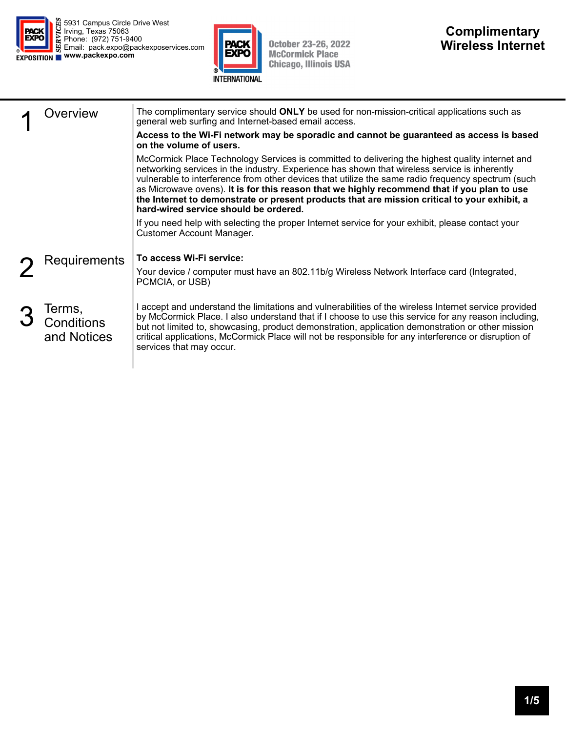



October 23-26, 2022<br>McCormick Place<br>Chicago, Illinois USA

| )verview                            | The complimentary service should ONLY be used for non-mission-critical applications such as<br>general web surfing and Internet-based email access.<br>Access to the Wi-Fi network may be sporadic and cannot be guaranteed as access is based                                                                                                                                                                                                                                                                                                                            |  |  |  |  |  |  |  |
|-------------------------------------|---------------------------------------------------------------------------------------------------------------------------------------------------------------------------------------------------------------------------------------------------------------------------------------------------------------------------------------------------------------------------------------------------------------------------------------------------------------------------------------------------------------------------------------------------------------------------|--|--|--|--|--|--|--|
|                                     | on the volume of users.<br>McCormick Place Technology Services is committed to delivering the highest quality internet and<br>networking services in the industry. Experience has shown that wireless service is inherently<br>vulnerable to interference from other devices that utilize the same radio frequency spectrum (such<br>as Microwave ovens). It is for this reason that we highly recommend that if you plan to use<br>the Internet to demonstrate or present products that are mission critical to your exhibit, a<br>hard-wired service should be ordered. |  |  |  |  |  |  |  |
|                                     | If you need help with selecting the proper Internet service for your exhibit, please contact your<br><b>Customer Account Manager.</b>                                                                                                                                                                                                                                                                                                                                                                                                                                     |  |  |  |  |  |  |  |
| Requirements                        | To access Wi-Fi service:<br>Your device / computer must have an 802.11b/g Wireless Network Interface card (Integrated,<br>PCMCIA, or USB)                                                                                                                                                                                                                                                                                                                                                                                                                                 |  |  |  |  |  |  |  |
| Terms,<br>Conditions<br>and Notices | I accept and understand the limitations and vulnerabilities of the wireless Internet service provided<br>by McCormick Place. I also understand that if I choose to use this service for any reason including,<br>but not limited to, showcasing, product demonstration, application demonstration or other mission<br>critical applications, McCormick Place will not be responsible for any interference or disruption of<br>services that may occur.                                                                                                                    |  |  |  |  |  |  |  |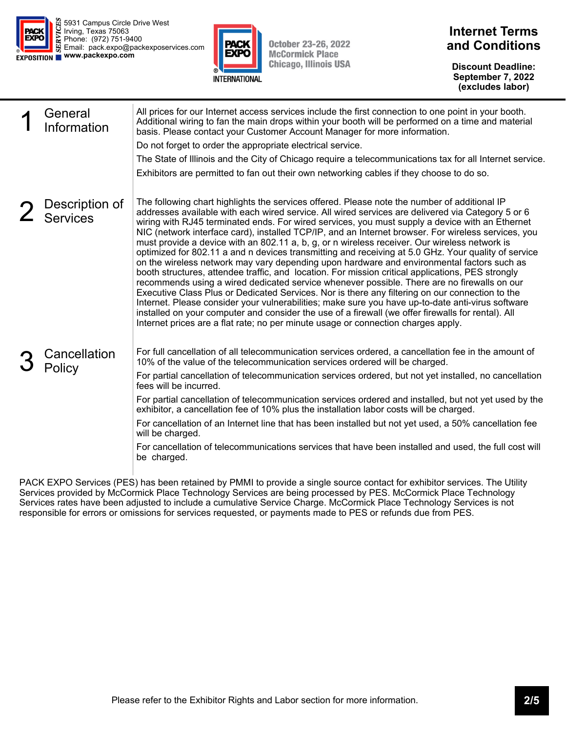



**October 23-26, 2022 McCormick Place Chicago, Illinois USA** 

## **Internet Terms and Conditions**

**Discount Deadline: September 7, 2022 (excludes labor)** 

| General<br>Information            | All prices for our Internet access services include the first connection to one point in your booth.<br>Additional wiring to fan the main drops within your booth will be performed on a time and material<br>basis. Please contact your Customer Account Manager for more information.<br>Do not forget to order the appropriate electrical service.<br>The State of Illinois and the City of Chicago require a telecommunications tax for all Internet service.<br>Exhibitors are permitted to fan out their own networking cables if they choose to do so.                                                                                                                                                                                                                                                                                                                                                                                                                                                                                                                                                                                                                                                                                                                                                            |
|-----------------------------------|--------------------------------------------------------------------------------------------------------------------------------------------------------------------------------------------------------------------------------------------------------------------------------------------------------------------------------------------------------------------------------------------------------------------------------------------------------------------------------------------------------------------------------------------------------------------------------------------------------------------------------------------------------------------------------------------------------------------------------------------------------------------------------------------------------------------------------------------------------------------------------------------------------------------------------------------------------------------------------------------------------------------------------------------------------------------------------------------------------------------------------------------------------------------------------------------------------------------------------------------------------------------------------------------------------------------------|
| Description of<br><b>Services</b> | The following chart highlights the services offered. Please note the number of additional IP<br>addresses available with each wired service. All wired services are delivered via Category 5 or 6<br>wiring with RJ45 terminated ends. For wired services, you must supply a device with an Ethernet<br>NIC (network interface card), installed TCP/IP, and an Internet browser. For wireless services, you<br>must provide a device with an 802.11 a, b, g, or n wireless receiver. Our wireless network is<br>optimized for 802.11 a and n devices transmitting and receiving at 5.0 GHz. Your quality of service<br>on the wireless network may vary depending upon hardware and environmental factors such as<br>booth structures, attendee traffic, and location. For mission critical applications, PES strongly<br>recommends using a wired dedicated service whenever possible. There are no firewalls on our<br>Executive Class Plus or Dedicated Services. Nor is there any filtering on our connection to the<br>Internet. Please consider your vulnerabilities; make sure you have up-to-date anti-virus software<br>installed on your computer and consider the use of a firewall (we offer firewalls for rental). All<br>Internet prices are a flat rate; no per minute usage or connection charges apply. |
| Cancellation<br>Policy            | For full cancellation of all telecommunication services ordered, a cancellation fee in the amount of<br>10% of the value of the telecommunication services ordered will be charged.<br>For partial cancellation of telecommunication services ordered, but not yet installed, no cancellation<br>fees will be incurred.<br>For partial cancellation of telecommunication services ordered and installed, but not yet used by the<br>exhibitor, a cancellation fee of 10% plus the installation labor costs will be charged.<br>For cancellation of an Internet line that has been installed but not yet used, a 50% cancellation fee<br>will be charged.<br>For cancellation of telecommunications services that have been installed and used, the full cost will<br>be charged.                                                                                                                                                                                                                                                                                                                                                                                                                                                                                                                                         |

PACK EXPO Services (PES) has been retained by PMMI to provide a single source contact for exhibitor services. The Utility Services provided by McCormick Place Technology Services are being processed by PES. McCormick Place Technology Services rates have been adjusted to include a cumulative Service Charge. McCormick Place Technology Services is not responsible for errors or omissions for services requested, or payments made to PES or refunds due from PES.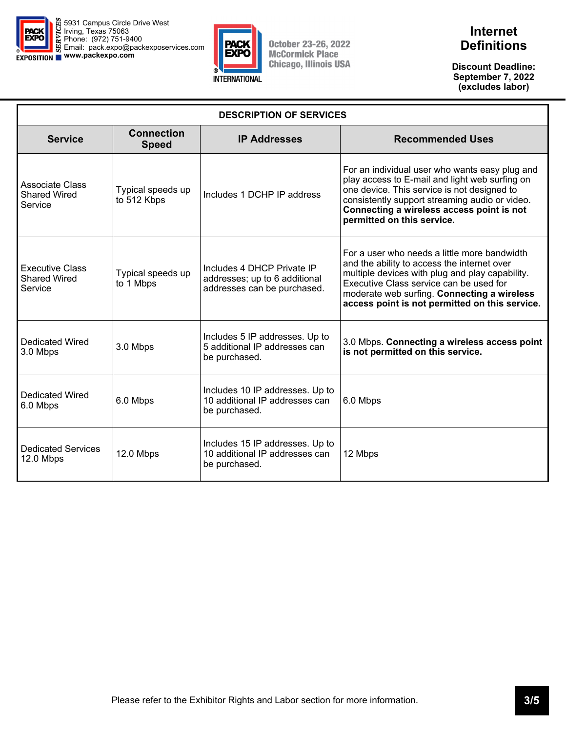

Г



**October 23-26, 2022 McCormick Place Chicago, Illinois USA** 

## **Internet Definitions**

**Discount Deadline: September 7, 2022 (excludes labor)** 

 $\overline{\mathbf{1}}$ 

| <b>DESCRIPTION OF SERVICES</b>                           |                                   |                                                                                            |                                                                                                                                                                                                                                                                                            |  |  |  |  |  |  |  |  |  |
|----------------------------------------------------------|-----------------------------------|--------------------------------------------------------------------------------------------|--------------------------------------------------------------------------------------------------------------------------------------------------------------------------------------------------------------------------------------------------------------------------------------------|--|--|--|--|--|--|--|--|--|
| <b>Service</b>                                           | <b>Connection</b><br><b>Speed</b> | <b>IP Addresses</b>                                                                        | <b>Recommended Uses</b>                                                                                                                                                                                                                                                                    |  |  |  |  |  |  |  |  |  |
| Associate Class<br><b>Shared Wired</b><br>Service        | Typical speeds up<br>to 512 Kbps  | Includes 1 DCHP IP address                                                                 | For an individual user who wants easy plug and<br>play access to E-mail and light web surfing on<br>one device. This service is not designed to<br>consistently support streaming audio or video.<br>Connecting a wireless access point is not<br>permitted on this service.               |  |  |  |  |  |  |  |  |  |
| <b>Executive Class</b><br><b>Shared Wired</b><br>Service | Typical speeds up<br>to 1 Mbps    | Includes 4 DHCP Private IP<br>addresses; up to 6 additional<br>addresses can be purchased. | For a user who needs a little more bandwidth<br>and the ability to access the internet over<br>multiple devices with plug and play capability.<br>Executive Class service can be used for<br>moderate web surfing. Connecting a wireless<br>access point is not permitted on this service. |  |  |  |  |  |  |  |  |  |
| <b>Dedicated Wired</b><br>3.0 Mbps                       | 3.0 Mbps                          | Includes 5 IP addresses. Up to<br>5 additional IP addresses can<br>be purchased.           | 3.0 Mbps. Connecting a wireless access point<br>is not permitted on this service.                                                                                                                                                                                                          |  |  |  |  |  |  |  |  |  |
| Dedicated Wired<br>6.0 Mbps                              | 6.0 Mbps                          | Includes 10 IP addresses. Up to<br>10 additional IP addresses can<br>be purchased.         | 6.0 Mbps                                                                                                                                                                                                                                                                                   |  |  |  |  |  |  |  |  |  |
| <b>Dedicated Services</b><br>12.0 Mbps                   | 12.0 Mbps                         | Includes 15 IP addresses. Up to<br>10 additional IP addresses can<br>be purchased.         | 12 Mbps                                                                                                                                                                                                                                                                                    |  |  |  |  |  |  |  |  |  |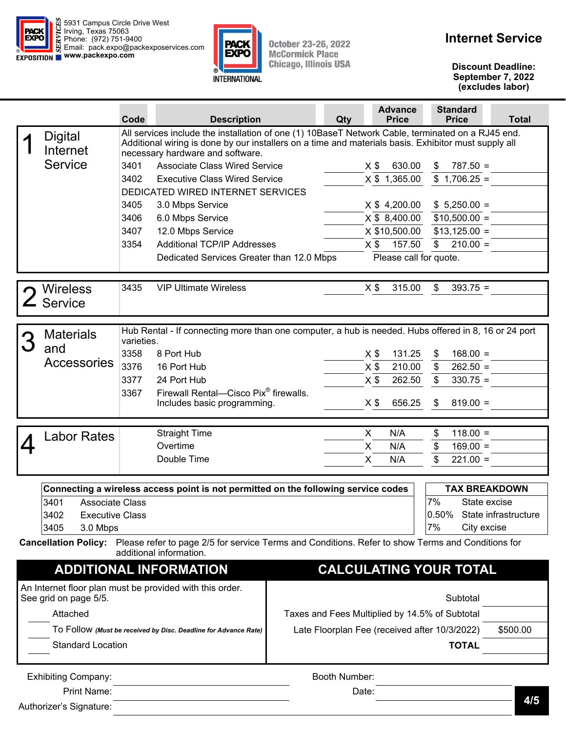



October 23-26, 2022<br>McCormick Place **Chicago, Illinois USA** 

**Discount Deadline: September 7, 2022 (excludes labor)** 

|                                                                                                                                                                                                                             | Code                             | <b>Description</b>                                                                                                           |                                                | Qty                                           | <b>Advance</b><br><b>Price</b> | <b>Standard</b><br><b>Price</b> | <b>Total</b>         |  |  |  |  |  |
|-----------------------------------------------------------------------------------------------------------------------------------------------------------------------------------------------------------------------------|----------------------------------|------------------------------------------------------------------------------------------------------------------------------|------------------------------------------------|-----------------------------------------------|--------------------------------|---------------------------------|----------------------|--|--|--|--|--|
| All services include the installation of one (1) 10BaseT Network Cable, terminated on a RJ45 end.<br><b>Digital</b><br>Additional wiring is done by our installers on a time and materials basis. Exhibitor must supply all |                                  |                                                                                                                              |                                                |                                               |                                |                                 |                      |  |  |  |  |  |
| Internet                                                                                                                                                                                                                    | necessary hardware and software. |                                                                                                                              |                                                |                                               |                                |                                 |                      |  |  |  |  |  |
| Service                                                                                                                                                                                                                     | 3401                             | <b>Associate Class Wired Service</b>                                                                                         |                                                |                                               | $X$ \$<br>630.00               | $787.50 =$                      |                      |  |  |  |  |  |
|                                                                                                                                                                                                                             | 3402                             | <b>Executive Class Wired Service</b>                                                                                         |                                                |                                               | X \$ 1,365.00                  | $$1,706.25 =$                   |                      |  |  |  |  |  |
|                                                                                                                                                                                                                             |                                  | DEDICATED WIRED INTERNET SERVICES                                                                                            |                                                |                                               |                                |                                 |                      |  |  |  |  |  |
|                                                                                                                                                                                                                             | 3405                             | 3.0 Mbps Service                                                                                                             |                                                |                                               | X \$ 4,200.00                  | $$5,250.00 =$                   |                      |  |  |  |  |  |
|                                                                                                                                                                                                                             | 3406                             | 6.0 Mbps Service                                                                                                             |                                                |                                               | X \$ 8,400.00                  | $$10,500.00 =$                  |                      |  |  |  |  |  |
|                                                                                                                                                                                                                             | 3407                             | 12.0 Mbps Service                                                                                                            |                                                |                                               | X \$10,500.00                  | $$13,125.00 =$                  |                      |  |  |  |  |  |
|                                                                                                                                                                                                                             | 3354                             | <b>Additional TCP/IP Addresses</b><br>Dedicated Services Greater than 12.0 Mbps                                              |                                                |                                               | 157.50<br>$X$ \$               | $\frac{1}{2}$<br>$210.00 =$     |                      |  |  |  |  |  |
|                                                                                                                                                                                                                             | Please call for quote.           |                                                                                                                              |                                                |                                               |                                |                                 |                      |  |  |  |  |  |
| <b>Wireless</b>                                                                                                                                                                                                             | 3435                             | <b>VIP Ultimate Wireless</b>                                                                                                 |                                                |                                               | $X$ \$<br>315.00               | \$<br>$393.75 =$                |                      |  |  |  |  |  |
| Service                                                                                                                                                                                                                     |                                  |                                                                                                                              |                                                |                                               |                                |                                 |                      |  |  |  |  |  |
| <b>Materials</b>                                                                                                                                                                                                            |                                  | Hub Rental - If connecting more than one computer, a hub is needed. Hubs offered in 8, 16 or 24 port                         |                                                |                                               |                                |                                 |                      |  |  |  |  |  |
| and                                                                                                                                                                                                                         | varieties.                       |                                                                                                                              |                                                |                                               |                                |                                 |                      |  |  |  |  |  |
| Accessories                                                                                                                                                                                                                 | 3358                             | 8 Port Hub                                                                                                                   |                                                |                                               | 131.25<br>$X$ \$               | $168.00 =$<br>\$                |                      |  |  |  |  |  |
|                                                                                                                                                                                                                             | 3376                             | 16 Port Hub                                                                                                                  |                                                |                                               | 210.00<br>$X$ \$               | $\frac{1}{2}$<br>$262.50 =$     |                      |  |  |  |  |  |
|                                                                                                                                                                                                                             | 3377                             | 24 Port Hub                                                                                                                  |                                                |                                               | $X$ \$<br>262.50               | $\mathfrak{S}$<br>$330.75 =$    |                      |  |  |  |  |  |
|                                                                                                                                                                                                                             | 3367                             | Firewall Rental-Cisco Pix <sup>®</sup> firewalls.<br>Includes basic programming.                                             |                                                |                                               | 656.25<br>$X$ \$               | \$<br>$819.00 =$                |                      |  |  |  |  |  |
|                                                                                                                                                                                                                             |                                  |                                                                                                                              |                                                |                                               |                                |                                 |                      |  |  |  |  |  |
| Labor Rates                                                                                                                                                                                                                 |                                  | <b>Straight Time</b>                                                                                                         |                                                | X.                                            | N/A                            | $118.00 =$<br>\$                |                      |  |  |  |  |  |
|                                                                                                                                                                                                                             |                                  | Overtime                                                                                                                     |                                                | X                                             | N/A                            | \$<br>$169.00 =$                |                      |  |  |  |  |  |
|                                                                                                                                                                                                                             |                                  | Double Time                                                                                                                  |                                                | X                                             | N/A                            | \$<br>$221.00 =$                |                      |  |  |  |  |  |
|                                                                                                                                                                                                                             |                                  | Connecting a wireless access point is not permitted on the following service codes                                           |                                                |                                               |                                | <b>TAX BREAKDOWN</b>            |                      |  |  |  |  |  |
| 3401<br><b>Associate Class</b>                                                                                                                                                                                              |                                  |                                                                                                                              |                                                |                                               |                                | 7%<br>State excise              |                      |  |  |  |  |  |
| 3402<br><b>Executive Class</b>                                                                                                                                                                                              |                                  |                                                                                                                              |                                                |                                               |                                | $0.50\%$                        | State infrastructure |  |  |  |  |  |
| 3405<br>3.0 Mbps                                                                                                                                                                                                            |                                  |                                                                                                                              |                                                |                                               |                                | 7%<br>City excise               |                      |  |  |  |  |  |
| <b>Cancellation Policy:</b>                                                                                                                                                                                                 |                                  | Please refer to page 2/5 for service Terms and Conditions. Refer to show Terms and Conditions for<br>additional information. |                                                |                                               |                                |                                 |                      |  |  |  |  |  |
|                                                                                                                                                                                                                             |                                  | <b>ADDITIONAL INFORMATION</b>                                                                                                |                                                |                                               |                                | <b>CALCULATING YOUR TOTAL</b>   |                      |  |  |  |  |  |
|                                                                                                                                                                                                                             |                                  | An Internet floor plan must be provided with this order.                                                                     |                                                |                                               |                                |                                 |                      |  |  |  |  |  |
| See grid on page 5/5.                                                                                                                                                                                                       |                                  |                                                                                                                              |                                                |                                               |                                | Subtotal                        |                      |  |  |  |  |  |
| Attached                                                                                                                                                                                                                    |                                  |                                                                                                                              | Taxes and Fees Multiplied by 14.5% of Subtotal |                                               |                                |                                 |                      |  |  |  |  |  |
|                                                                                                                                                                                                                             |                                  | To Follow (Must be received by Disc. Deadline for Advance Rate)                                                              |                                                | \$500.00                                      |                                |                                 |                      |  |  |  |  |  |
|                                                                                                                                                                                                                             |                                  |                                                                                                                              |                                                | Late Floorplan Fee (received after 10/3/2022) |                                |                                 |                      |  |  |  |  |  |
| <b>Standard Location</b>                                                                                                                                                                                                    |                                  |                                                                                                                              |                                                |                                               |                                | <b>TOTAL</b>                    |                      |  |  |  |  |  |
| <b>Exhibiting Company:</b>                                                                                                                                                                                                  |                                  |                                                                                                                              |                                                | Booth Number:                                 |                                |                                 |                      |  |  |  |  |  |
| Print Name:                                                                                                                                                                                                                 |                                  |                                                                                                                              |                                                | Date:                                         |                                |                                 |                      |  |  |  |  |  |

Authorizer's Signature:

**4/5**